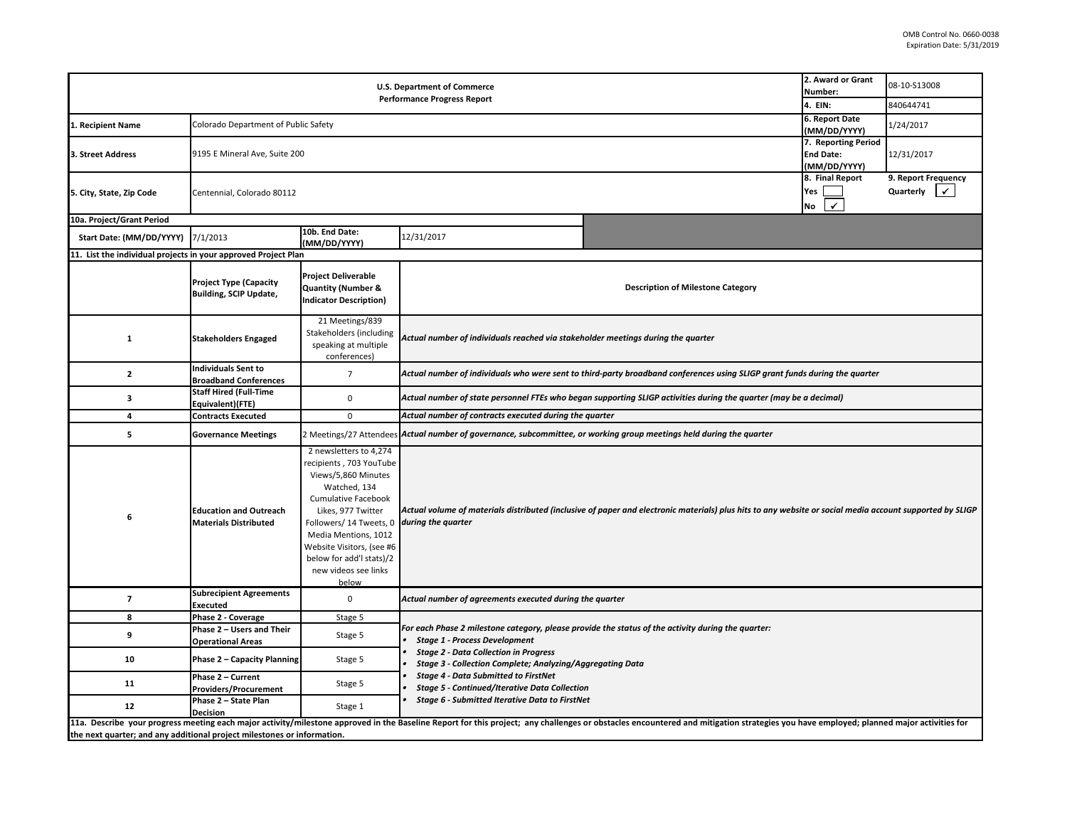| <b>U.S. Department of Commerce</b><br><b>Performance Progress Report</b> |                                                                |                                                                                                                                                                                                                                                                 |                                                                                                                            |                                                                                                                                                                                                                                | 2. Award or Grant<br>Number:<br>4. EIN:                 | 08-10-S13008<br>840644741                              |  |  |  |
|--------------------------------------------------------------------------|----------------------------------------------------------------|-----------------------------------------------------------------------------------------------------------------------------------------------------------------------------------------------------------------------------------------------------------------|----------------------------------------------------------------------------------------------------------------------------|--------------------------------------------------------------------------------------------------------------------------------------------------------------------------------------------------------------------------------|---------------------------------------------------------|--------------------------------------------------------|--|--|--|
|                                                                          |                                                                |                                                                                                                                                                                                                                                                 |                                                                                                                            |                                                                                                                                                                                                                                | 6. Report Date                                          |                                                        |  |  |  |
| 1. Recipient Name                                                        | Colorado Department of Public Safety                           |                                                                                                                                                                                                                                                                 |                                                                                                                            |                                                                                                                                                                                                                                | (MM/DD/YYYY)                                            | 1/24/2017                                              |  |  |  |
| 3. Street Address                                                        | 9195 E Mineral Ave, Suite 200                                  |                                                                                                                                                                                                                                                                 |                                                                                                                            |                                                                                                                                                                                                                                | 7. Reporting Period<br><b>End Date:</b><br>(MM/DD/YYYY) | 12/31/2017                                             |  |  |  |
| 5. City, State, Zip Code                                                 | Centennial, Colorado 80112                                     |                                                                                                                                                                                                                                                                 |                                                                                                                            |                                                                                                                                                                                                                                | 8. Final Report<br>Yes<br>$\checkmark$<br>No            | 9. Report Frequency<br>Quarterly<br>$\vert \checkmark$ |  |  |  |
| 10a. Project/Grant Period                                                |                                                                |                                                                                                                                                                                                                                                                 |                                                                                                                            |                                                                                                                                                                                                                                |                                                         |                                                        |  |  |  |
| Start Date: (MM/DD/YYYY)                                                 | 7/1/2013                                                       | 10b. End Date:<br>(MM/DD/YYYY)                                                                                                                                                                                                                                  | 12/31/2017                                                                                                                 |                                                                                                                                                                                                                                |                                                         |                                                        |  |  |  |
| 11. List the individual projects in your approved Project Plan           |                                                                |                                                                                                                                                                                                                                                                 |                                                                                                                            |                                                                                                                                                                                                                                |                                                         |                                                        |  |  |  |
|                                                                          | <b>Project Type (Capacity</b><br><b>Building, SCIP Update,</b> | <b>Project Deliverable</b><br><b>Quantity (Number &amp;</b><br><b>Indicator Description)</b>                                                                                                                                                                    |                                                                                                                            | <b>Description of Milestone Category</b>                                                                                                                                                                                       |                                                         |                                                        |  |  |  |
| $\mathbf{1}$                                                             | <b>Stakeholders Engaged</b>                                    | 21 Meetings/839<br>Stakeholders (including<br>speaking at multiple<br>conferences)                                                                                                                                                                              |                                                                                                                            | Actual number of individuals reached via stakeholder meetings during the quarter                                                                                                                                               |                                                         |                                                        |  |  |  |
| $\overline{2}$                                                           | <b>Individuals Sent to</b><br><b>Broadband Conferences</b>     | $\overline{7}$                                                                                                                                                                                                                                                  | Actual number of individuals who were sent to third-party broadband conferences using SLIGP grant funds during the quarter |                                                                                                                                                                                                                                |                                                         |                                                        |  |  |  |
| 3                                                                        | <b>Staff Hired (Full-Time</b><br>Equivalent)(FTE)              | $\mathsf 0$                                                                                                                                                                                                                                                     | Actual number of state personnel FTEs who began supporting SLIGP activities during the quarter (may be a decimal)          |                                                                                                                                                                                                                                |                                                         |                                                        |  |  |  |
| 4                                                                        | <b>Contracts Executed</b>                                      | $\mathbf 0$                                                                                                                                                                                                                                                     | Actual number of contracts executed during the quarter                                                                     |                                                                                                                                                                                                                                |                                                         |                                                        |  |  |  |
| 5                                                                        | <b>Governance Meetings</b>                                     |                                                                                                                                                                                                                                                                 |                                                                                                                            | 2 Meetings/27 Attendees Actual number of governance, subcommittee, or working group meetings held during the quarter                                                                                                           |                                                         |                                                        |  |  |  |
|                                                                          |                                                                | 2 newsletters to 4,274                                                                                                                                                                                                                                          |                                                                                                                            |                                                                                                                                                                                                                                |                                                         |                                                        |  |  |  |
| 6                                                                        | <b>Education and Outreach</b><br><b>Materials Distributed</b>  | recipients, 703 YouTube<br>Views/5,860 Minutes<br>Watched, 134<br><b>Cumulative Facebook</b><br>Likes, 977 Twitter<br>Followers/ 14 Tweets, 0<br>Media Mentions, 1012<br>Website Visitors, (see #6<br>below for add'l stats)/2<br>new videos see links<br>below | during the quarter                                                                                                         | Actual volume of materials distributed (inclusive of paper and electronic materials) plus hits to any website or social media account supported by SLIGP                                                                       |                                                         |                                                        |  |  |  |
| $\overline{7}$                                                           | <b>Subrecipient Agreements</b><br><b>Executed</b>              | $\mathsf 0$                                                                                                                                                                                                                                                     | Actual number of agreements executed during the quarter                                                                    |                                                                                                                                                                                                                                |                                                         |                                                        |  |  |  |
| 8                                                                        | Phase 2 - Coverage                                             | Stage 5                                                                                                                                                                                                                                                         |                                                                                                                            |                                                                                                                                                                                                                                |                                                         |                                                        |  |  |  |
| 9                                                                        | Phase 2 - Users and Their<br><b>Operational Areas</b>          | Stage 5                                                                                                                                                                                                                                                         | <b>Stage 1 - Process Development</b>                                                                                       | For each Phase 2 milestone category, please provide the status of the activity during the quarter:                                                                                                                             |                                                         |                                                        |  |  |  |
| 10                                                                       | Phase 2 - Capacity Planning                                    | Stage 5                                                                                                                                                                                                                                                         | <b>Stage 2 - Data Collection in Progress</b><br>Stage 3 - Collection Complete; Analyzing/Aggregating Data                  |                                                                                                                                                                                                                                |                                                         |                                                        |  |  |  |
| 11                                                                       | Phase 2 - Current<br><b>Providers/Procurement</b>              | Stage 5                                                                                                                                                                                                                                                         | <b>Stage 4 - Data Submitted to FirstNet</b><br><b>Stage 5 - Continued/Iterative Data Collection</b>                        |                                                                                                                                                                                                                                |                                                         |                                                        |  |  |  |
| 12                                                                       | Phase 2 - State Plan<br><b>Decision</b>                        | Stage 1                                                                                                                                                                                                                                                         | Stage 6 - Submitted Iterative Data to FirstNet                                                                             | 11a. Describe your progress meeting each major activity/milestone approved in the Baseline Report for this project; any challenges or obstacles encountered and mitigation strategies you have employed; planned major activit |                                                         |                                                        |  |  |  |

**the next quarter; and any additional project milestones or information.**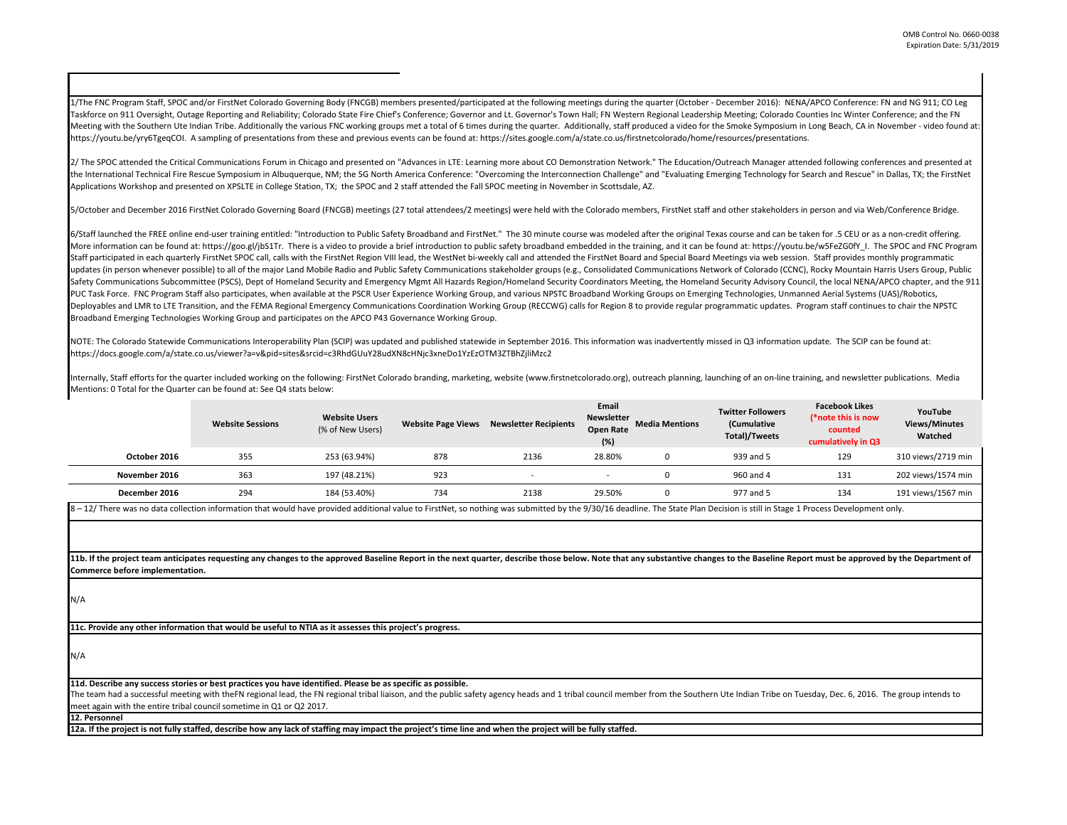1/The FNC Program Staff, SPOC and/or FirstNet Colorado Governing Body (FNCGB) members presented/participated at the following meetings during the quarter (October - December 2016): NENA/APCO Conference: FN and NG 911; CO Leg Taskforce on 911 Oversight, Outage Reporting and Reliability; Colorado State Fire Chief's Conference; Governor and Lt. Governor's Town Hall; FN Western Regional Leadership Meeting; Colorado Counties Inc Winter Conference; Meeting with the Southern Ute Indian Tribe. Additionally the various FNC working groups met a total of 6 times during the quarter. Additionally, staff produced a video for the Smoke Symposium in Long Beach, CA in November https://youtu.be/yry6TgeqCOI. A sampling of presentations from these and previous events can be found at: https://sites.google.com/a/state.co.us/firstnetcolorado/home/resources/presentations.

2/ The SPOC attended the Critical Communications Forum in Chicago and presented on "Advances in LTE: Learning more about CO Demonstration Network." The Education/Outreach Manager attended following conferences and presente the International Technical Fire Rescue Symposium in Albuquerque, NM; the 5G North America Conference: "Overcoming the Interconnection Challenge" and "Evaluating Emerging Technology for Search and Rescue" in Dallas, TX; th Applications Workshop and presented on XPSLTE in College Station, TX; the SPOC and 2 staff attended the Fall SPOC meeting in November in Scottsdale, AZ.

5/October and December 2016 FirstNet Colorado Governing Board (FNCGB) meetings (27 total attendees/2 meetings) were held with the Colorado members, FirstNet staff and other stakeholders in person and via Web/Conference Bri

6/Staff launched the FREE online end-user training entitled: "Introduction to Public Safety Broadband and FirstNet." The 30 minute course was modeled after the original Texas course and can be taken for .5 CEU or as a non-More information can be found at: https://goo.gl/ibS1Tr. There is a video to provide a brief introduction to public safety broadband embedded in the training, and it can be found at: https://youtu.be/w5FeZGOfY I. The SPOC Staff participated in each quarterly FirstNet SPOC call, calls with the FirstNet Region VIII lead, the WestNet bi-weekly call and attended the FirstNet Board and Special Board Meetings via web session. Staff provides month updates (in person whenever possible) to all of the major Land Mobile Radio and Public Safety Communications stakeholder groups (e.g., Consolidated Communications Network of Colorado (CCNC), Rocky Mountain Harris Users Gro Safety Communications Subcommittee (PSCS), Dept of Homeland Security and Emergency Mgmt All Hazards Region/Homeland Security Coordinators Meeting, the Homeland Security Advisory Council, the local NENA/APCO chapter, and th PUC Task Force. FNC Program Staff also participates, when available at the PSCR User Experience Working Group, and various NPSTC Broadband Working Groups on Emerging Technologies, Unmanned Aerial Systems (UAS)/Robotics, Deployables and LMR to LTE Transition, and the FEMA Regional Emergency Communications Coordination Working Group (RECCWG) calls for Region 8 to provide regular programmatic updates. Program staff continues to chair the NPS Broadband Emerging Technologies Working Group and participates on the APCO P43 Governance Working Group.

NOTE: The Colorado Statewide Communications Interoperability Plan (SCIP) was updated and published statewide in September 2016. This information was inadvertently missed in Q3 information update. The SCIP can be found at: https://docs.google.com/a/state.co.us/viewer?a=v&pid=sites&srcid=c3RhdGUuY28udXN8cHNjc3xneDo1YzEzOTM3ZTBhZjliMzc2

Internally, Staff efforts for the quarter included working on the following: FirstNet Colorado branding, marketing, website (www.firstnetcolorado.org), outreach planning, launching of an on-line training, and newsletter pu Mentions: 0 Total for the Quarter can be found at: See Q4 stats below:

|               | <b>Website Sessions</b> | <b>Website Users</b><br>(% of New Users) | <b>Website Page Views</b> | <b>Newsletter Recipients</b> | Email<br><b>Newsletter</b><br><b>Open Rate</b><br>(%) | <b>Media Mentions</b> | <b>Twitter Followers</b><br>(Cumulative<br>Total)/Tweets | <b>Facebook Likes</b><br>(*note this is now<br>counted<br>cumulatively in Q3 | YouTube<br><b>Views/Minutes</b><br>Watched |
|---------------|-------------------------|------------------------------------------|---------------------------|------------------------------|-------------------------------------------------------|-----------------------|----------------------------------------------------------|------------------------------------------------------------------------------|--------------------------------------------|
| October 2016  | 355                     | 253 (63.94%)                             | 878                       | 2136                         | 28.80%                                                |                       | 939 and 5                                                | 129                                                                          | 310 views/2719 min                         |
| November 2016 | 363                     | 197 (48.21%)                             | 923                       |                              |                                                       |                       | 960 and 4                                                | 131                                                                          | 202 views/1574 min                         |
| December 2016 | 294                     | 184 (53.40%)                             | 734                       | 2138                         | 29.50%                                                |                       | 977 and 5                                                | 134                                                                          | 191 views/1567 min                         |

8 – 12/ There was no data collection information that would have provided additional value to FirstNet, so nothing was submitted by the 9/30/16 deadline. The State Plan Decision is still in Stage 1 Process Development only.

11b. If the project team anticipates requesting any changes to the approved Baseline Report in the next quarter, describe those below. Note that any substantive changes to the Baseline Report must be approved by the Depart **Commerce before implementation.** 

N/A

**11c. Provide any other information that would be useful to NTIA as it assesses this project's progress.** 

N/A

**11d. Describe any success stories or best practices you have identified. Please be as specific as possible.**

The team had a successful meeting with theFN regional lead, the FN regional tribal liaison, and the public safety agency heads and 1 tribal council member from the Southern Ute Indian Tribe on Tuesday, Dec. 6, 2016. The gr meet again with the entire tribal council sometime in Q1 or Q2 2017.

**12. Personnel** 

**12a. If the project is not fully staffed, describe how any lack of staffing may impact the project's time line and when the project will be fully staffed.**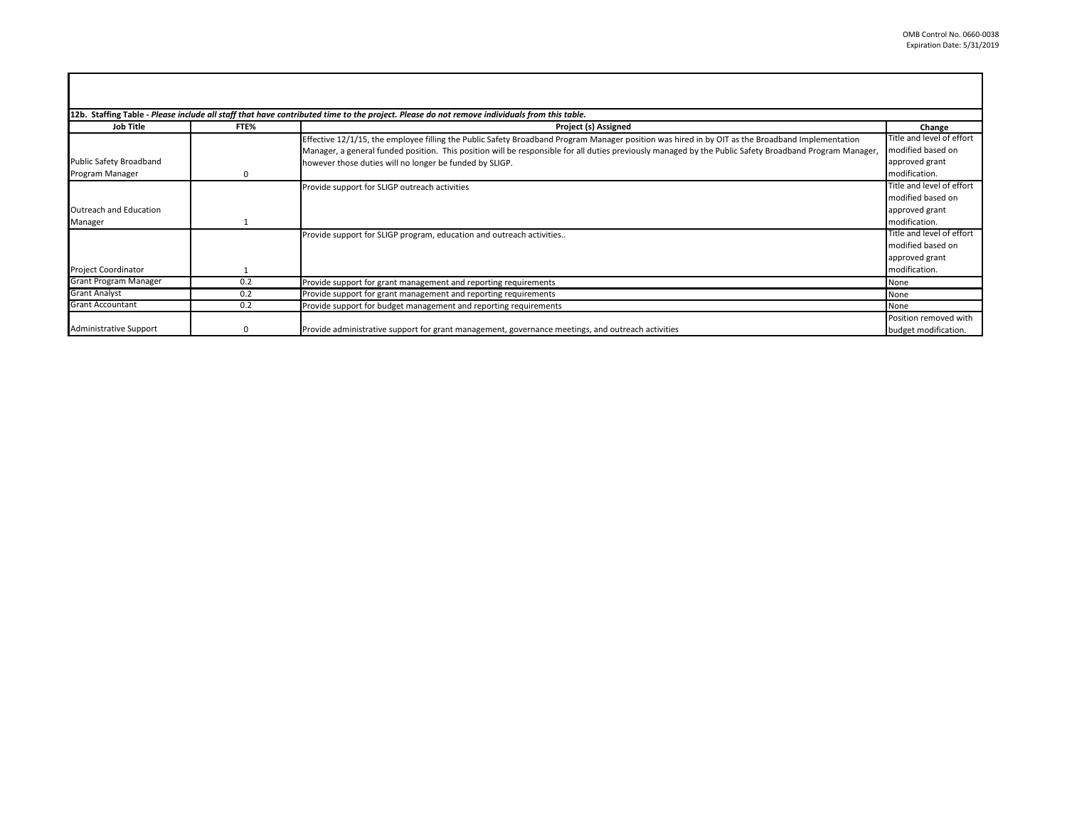| 12b. Staffing Table - Please include all staff that have contributed time to the project. Please do not remove individuals from this table. |          |                                                                                                                                                        |                           |  |  |  |
|---------------------------------------------------------------------------------------------------------------------------------------------|----------|--------------------------------------------------------------------------------------------------------------------------------------------------------|---------------------------|--|--|--|
| <b>Job Title</b>                                                                                                                            | FTE%     | Change                                                                                                                                                 |                           |  |  |  |
|                                                                                                                                             |          | Effective 12/1/15, the employee filling the Public Safety Broadband Program Manager position was hired in by OIT as the Broadband Implementation       | Title and level of effort |  |  |  |
|                                                                                                                                             |          | Manager, a general funded position. This position will be responsible for all duties previously managed by the Public Safety Broadband Program Manager | modified based on         |  |  |  |
| Public Safety Broadband                                                                                                                     |          | however those duties will no longer be funded by SLIGP.                                                                                                | approved grant            |  |  |  |
| Program Manager                                                                                                                             | 0        |                                                                                                                                                        | modification.             |  |  |  |
|                                                                                                                                             |          | Provide support for SLIGP outreach activities                                                                                                          | Title and level of effort |  |  |  |
|                                                                                                                                             |          |                                                                                                                                                        | modified based on         |  |  |  |
| Outreach and Education                                                                                                                      |          |                                                                                                                                                        | approved grant            |  |  |  |
| Manager                                                                                                                                     |          |                                                                                                                                                        | modification.             |  |  |  |
|                                                                                                                                             |          | Provide support for SLIGP program, education and outreach activities                                                                                   | Title and level of effort |  |  |  |
|                                                                                                                                             |          |                                                                                                                                                        | modified based on         |  |  |  |
|                                                                                                                                             |          |                                                                                                                                                        | approved grant            |  |  |  |
| <b>Project Coordinator</b>                                                                                                                  |          |                                                                                                                                                        | modification.             |  |  |  |
| Grant Program Manager                                                                                                                       | 0.2      | Provide support for grant management and reporting requirements                                                                                        | None                      |  |  |  |
| <b>Grant Analyst</b>                                                                                                                        | 0.2      | Provide support for grant management and reporting requirements                                                                                        | None                      |  |  |  |
| <b>Grant Accountant</b>                                                                                                                     | 0.2      | Provide support for budget management and reporting requirements                                                                                       | None                      |  |  |  |
|                                                                                                                                             |          |                                                                                                                                                        | Position removed with     |  |  |  |
| <b>Administrative Support</b>                                                                                                               | $\Omega$ | Provide administrative support for grant management, governance meetings, and outreach activities                                                      | budget modification.      |  |  |  |

г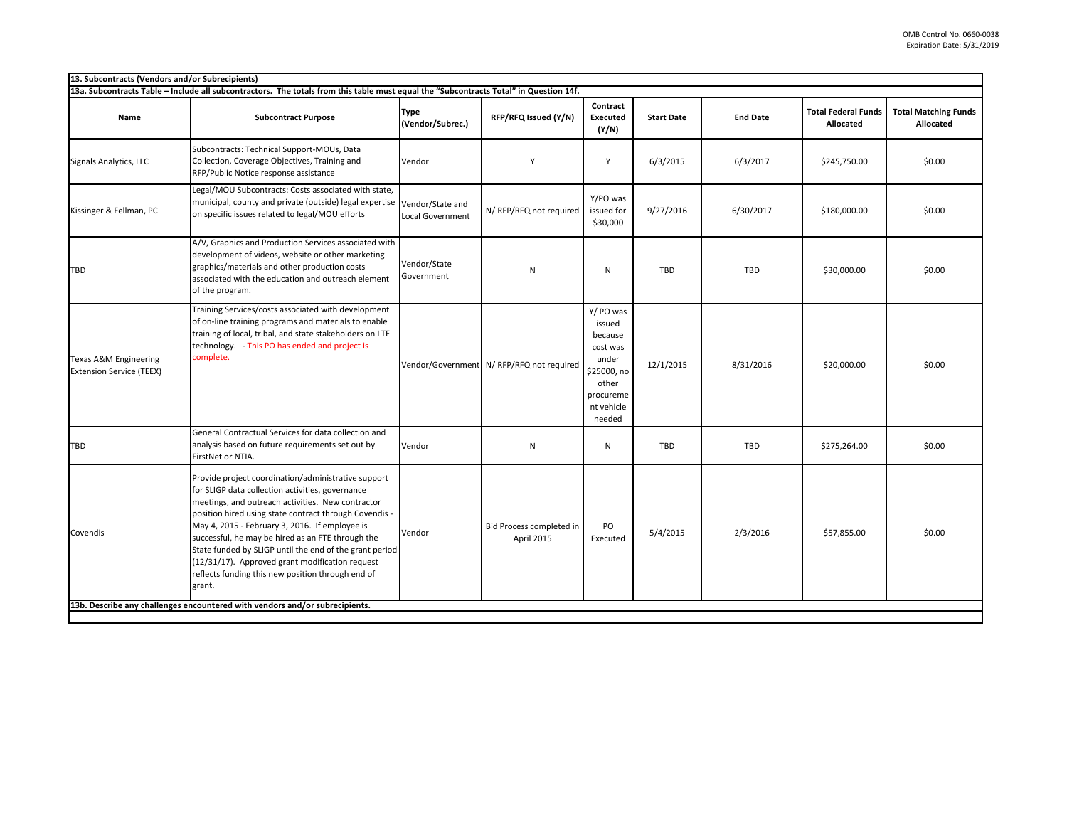| 13. Subcontracts (Vendors and/or Subrecipients)                                                                                       |                                                                                                                                                                                                                                                                                                                                                                                                                                                                                                            |                                 |                                          |                                                                                                                  |                   |                 |                                         |                                          |
|---------------------------------------------------------------------------------------------------------------------------------------|------------------------------------------------------------------------------------------------------------------------------------------------------------------------------------------------------------------------------------------------------------------------------------------------------------------------------------------------------------------------------------------------------------------------------------------------------------------------------------------------------------|---------------------------------|------------------------------------------|------------------------------------------------------------------------------------------------------------------|-------------------|-----------------|-----------------------------------------|------------------------------------------|
| 13a. Subcontracts Table - Include all subcontractors. The totals from this table must equal the "Subcontracts Total" in Question 14f. |                                                                                                                                                                                                                                                                                                                                                                                                                                                                                                            |                                 |                                          |                                                                                                                  |                   |                 |                                         |                                          |
| Name                                                                                                                                  | <b>Subcontract Purpose</b>                                                                                                                                                                                                                                                                                                                                                                                                                                                                                 | <b>Type</b><br>(Vendor/Subrec.) | RFP/RFQ Issued (Y/N)                     | Contract<br><b>Executed</b><br>(Y/N)                                                                             | <b>Start Date</b> | <b>End Date</b> | <b>Total Federal Funds</b><br>Allocated | <b>Total Matching Funds</b><br>Allocated |
| Signals Analytics, LLC                                                                                                                | Subcontracts: Technical Support-MOUs, Data<br>Collection, Coverage Objectives, Training and<br>RFP/Public Notice response assistance                                                                                                                                                                                                                                                                                                                                                                       | Vendor                          | Υ                                        | Y                                                                                                                | 6/3/2015          | 6/3/2017        | \$245,750.00                            | \$0.00                                   |
| Kissinger & Fellman, PC                                                                                                               | Legal/MOU Subcontracts: Costs associated with state,<br>municipal, county and private (outside) legal expertise Vendor/State and<br>on specific issues related to legal/MOU efforts                                                                                                                                                                                                                                                                                                                        | <b>Local Government</b>         | N/ RFP/RFQ not required                  | Y/PO was<br>issued for<br>\$30,000                                                                               | 9/27/2016         | 6/30/2017       | \$180,000.00                            | \$0.00                                   |
| TBD                                                                                                                                   | A/V, Graphics and Production Services associated with<br>development of videos, website or other marketing<br>graphics/materials and other production costs<br>associated with the education and outreach element<br>of the program.                                                                                                                                                                                                                                                                       | Vendor/State<br>Government      | N                                        | $\mathsf{N}$                                                                                                     | TBD               | TBD             | \$30,000.00                             | \$0.00                                   |
| Texas A&M Engineering<br><b>Extension Service (TEEX)</b>                                                                              | Training Services/costs associated with development<br>of on-line training programs and materials to enable<br>training of local, tribal, and state stakeholders on LTE<br>technology. This PO has ended and project is<br>complete.                                                                                                                                                                                                                                                                       |                                 | Vendor/Government N/RFP/RFQ not required | Y/ PO was<br>issued<br>because<br>cost was<br>under<br>\$25000, no<br>other<br>procureme<br>nt vehicle<br>needed | 12/1/2015         | 8/31/2016       | \$20,000.00                             | \$0.00                                   |
| TBD                                                                                                                                   | General Contractual Services for data collection and<br>analysis based on future requirements set out by<br>FirstNet or NTIA.                                                                                                                                                                                                                                                                                                                                                                              | Vendor                          | N                                        | ${\sf N}$                                                                                                        | TBD               | TBD             | \$275,264.00                            | \$0.00                                   |
| Covendis                                                                                                                              | Provide project coordination/administrative support<br>for SLIGP data collection activities, governance<br>meetings, and outreach activities. New contractor<br>position hired using state contract through Covendis -<br>May 4, 2015 - February 3, 2016. If employee is<br>successful, he may be hired as an FTE through the<br>State funded by SLIGP until the end of the grant period<br>(12/31/17). Approved grant modification request<br>reflects funding this new position through end of<br>grant. | Vendor                          | Bid Process completed in<br>April 2015   | PO<br>Executed                                                                                                   | 5/4/2015          | 2/3/2016        | \$57,855.00                             | \$0.00                                   |
|                                                                                                                                       | 13b. Describe any challenges encountered with vendors and/or subrecipients.                                                                                                                                                                                                                                                                                                                                                                                                                                |                                 |                                          |                                                                                                                  |                   |                 |                                         |                                          |
|                                                                                                                                       |                                                                                                                                                                                                                                                                                                                                                                                                                                                                                                            |                                 |                                          |                                                                                                                  |                   |                 |                                         |                                          |